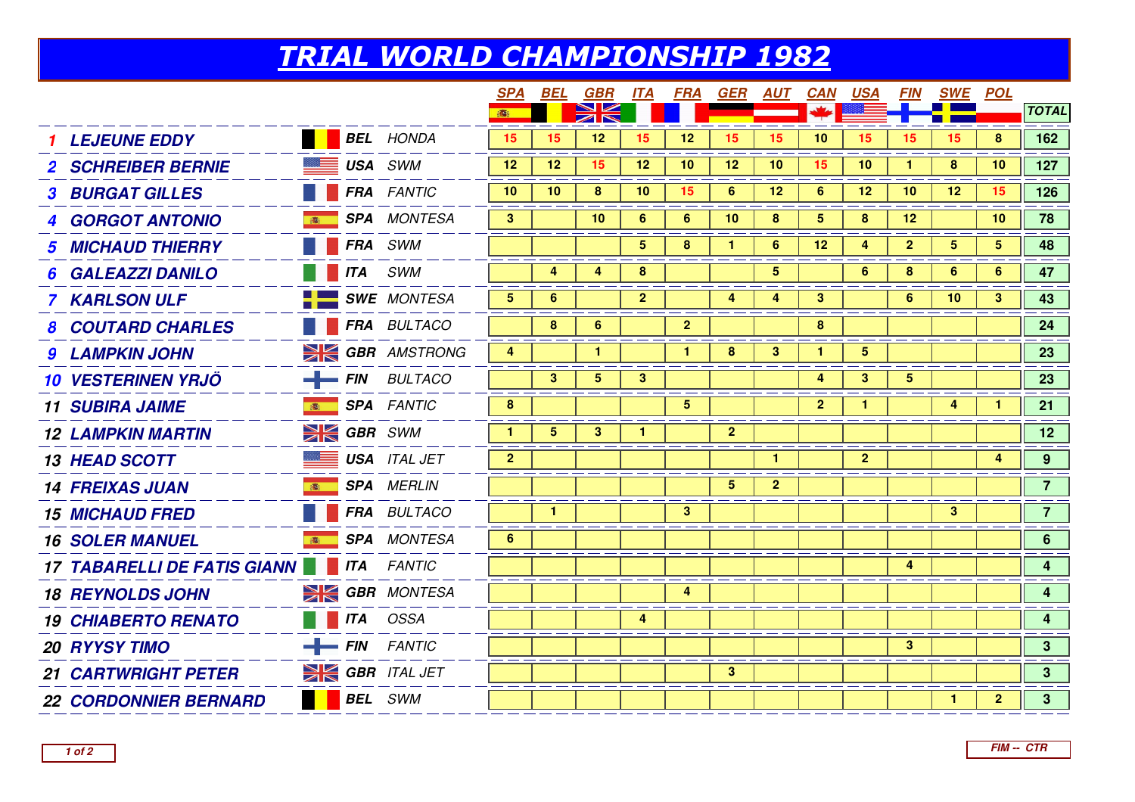## TRIAL WORLD CHAMPIONSHIP 1982

|                                    |              |                        |                |                 | <b>SPA BEL GBR</b> |                         | <u>ITA FRA</u>  | GER            |                | <u>AUT CAN</u> | <u>USA</u>           | <i>FIN</i>     | <u>SWE POL</u> |                |                         |
|------------------------------------|--------------|------------------------|----------------|-----------------|--------------------|-------------------------|-----------------|----------------|----------------|----------------|----------------------|----------------|----------------|----------------|-------------------------|
|                                    |              |                        | 100            |                 |                    |                         |                 |                |                |                |                      |                |                |                | <b>TOTAL</b>            |
| <b>LEJEUNE EDDY</b>                |              | <b>BEL</b> HONDA       | 15             | 15              | 12                 | 15                      | 12              | 15             | 15             | 10             | 15                   | 15             | 15             | 8              | 162                     |
| <b>2 SCHREIBER BERNIE</b>          |              | <b>EXECUSA SWM</b>     | 12             | 12 <sup>2</sup> | 15                 | 12                      | 10 <sup>°</sup> | 12             | 10             | 15             | 10                   |                | 8              | 10             | 127                     |
| <b>3 BURGAT GILLES</b>             |              | <b>FRA</b> FANTIC      | 10             | 10              | 8                  | 10                      | 15              | $6\phantom{1}$ | 12             | 6              | 12                   | 10             | 12             | 15             | 126                     |
| <b>4 GORGOT ANTONIO</b>            |              | <b>SPA</b> MONTESA     | 3 <sup>2</sup> |                 | 10                 | 6                       | 6               | 10             | 8              | 5              | 8                    | 12             |                | 10             | 78                      |
| <b>5 MICHAUD THIERRY</b>           |              | <b>FRA</b> SWM         |                |                 |                    | 5                       | 8               | 1.             | 6              | 12             | 4                    | $\mathbf{2}$   | $5^{\circ}$    | 5              | 48                      |
| <b>GALEAZZI DANILO</b>             |              | <b>ITA</b> SWM         |                | 4               | 4                  | 8                       |                 |                | 5              |                | 6                    | 8              | 6              | 6              | 47                      |
| 7 KARLSON ULF                      |              | SWE MONTESA            | 5              | 6               |                    | 2 <sup>1</sup>          |                 | 4              | 4              | 3              |                      | 6              | 10             | З.             | 43                      |
| <b>8 COUTARD CHARLES</b>           |              | FRA BULTACO            |                | 8               | 6                  |                         | $\overline{2}$  |                |                | 8              |                      |                |                |                | 24                      |
| <b>9 LAMPKIN JOHN</b>              |              | <b>SE GBR</b> AMSTRONG | 4              |                 | $\mathbf{1}$       |                         | $\mathbf{1}$    | 8 <sup>°</sup> | 3 <sup>2</sup> | $\mathbf{1}$   | $5\phantom{.0}$      |                |                |                | 23                      |
| <b>10 VESTERINEN YRJÖ</b>          |              | $-$ FIN BULTACO        |                | 3 <sup>1</sup>  | $\overline{5}$     | 3 <sup>2</sup>          |                 |                |                | 4              | 3 <sup>2</sup>       | 5 <sup>5</sup> |                |                | 23                      |
| <b>11 SUBIRA JAIME</b>             |              | <b>SPA</b> FANTIC      | $\bf{8}$       |                 |                    |                         | $5\phantom{.0}$ |                |                | $\mathbf{2}$   | $\blacktriangleleft$ |                | 4              |                | 21                      |
| <b>12 LAMPKIN MARTIN</b>           |              | $\geq$ GBR SWM         | $\mathbf{1}$   | $5\overline{)}$ | $\mathbf{3}$       |                         |                 | $\overline{2}$ |                |                |                      |                |                |                | 12                      |
| <b>13 HEAD SCOTT</b>               | <u> 22 —</u> | <b>USA</b> ITAL JET    | 2 <sup>2</sup> |                 |                    |                         |                 |                | $\mathbf{1}$   |                | 2 <sup>2</sup>       |                |                | 4              | 9 <sup>°</sup>          |
| <b>14 FREIXAS JUAN</b>             | 高            | <b>SPA</b> MERLIN      |                |                 |                    |                         |                 | 5 <sup>5</sup> | $\mathbf{2}$   |                |                      |                |                |                | 7 <sup>7</sup>          |
| <b>15 MICHAUD FRED</b>             |              | FRA BULTACO            |                | $\mathbf{1}$    |                    |                         | $\mathbf{3}$    |                |                |                |                      |                | $\mathbf{3}$   |                | 7 <sup>7</sup>          |
| <b>16 SOLER MANUEL</b>             | 高 :          | <b>SPA</b> MONTESA     | $6\phantom{1}$ |                 |                    |                         |                 |                |                |                |                      |                |                |                | 6 <sup>1</sup>          |
| <b>17 TABARELLI DE FATIS GIANN</b> |              | <b>ITA</b> FANTIC      |                |                 |                    |                         |                 |                |                |                |                      | 4              |                |                | 4                       |
| <b>18 REYNOLDS JOHN</b>            |              | <b>SIGBR</b> MONTESA   |                |                 |                    |                         | 4               |                |                |                |                      |                |                |                | $\overline{\mathbf{4}}$ |
| <b>19 CHIABERTO RENATO</b>         |              | <b>THE ITA</b> OSSA    |                |                 |                    | $\overline{\mathbf{4}}$ |                 |                |                |                |                      |                |                |                | $\overline{\mathbf{4}}$ |
| <b>20 RYYSY TIMO</b>               |              | $-$ FIN FANTIC         |                |                 |                    |                         |                 |                |                |                |                      | $\mathbf{3}$   |                |                | 3 <sup>1</sup>          |
| <b>21 CARTWRIGHT PETER</b>         |              | <b>SIGBR</b> ITAL JET  |                |                 |                    |                         |                 | $\mathbf{3}$   |                |                |                      |                |                |                | 3 <sup>7</sup>          |
| <b>22 CORDONNIER BERNARD</b>       |              | <b>BEL</b> SWM         |                |                 |                    |                         |                 |                |                |                |                      |                | $\mathbf{1}$   | $\overline{2}$ | 3 <sup>7</sup>          |
|                                    |              |                        |                |                 |                    |                         |                 |                |                |                |                      |                |                |                |                         |